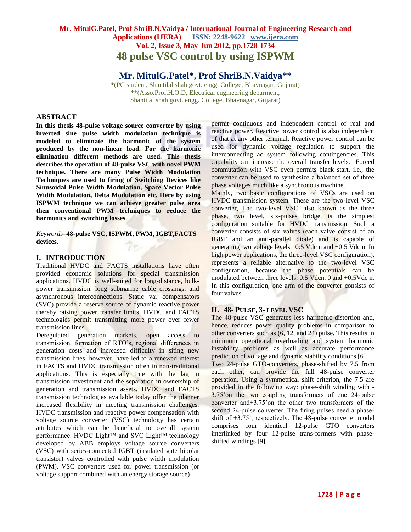## **Mr. MitulG.Patel, Prof ShriB.N.Vaidya / International Journal of Engineering Research and Applications (IJERA) ISSN: 2248-9622 www.ijera.com Vol. 2, Issue 3, May-Jun 2012, pp.1728-1734 48 pulse VSC control by using ISPWM**

## **Mr. MitulG.Patel\*, Prof ShriB.N.Vaidya\*\***

\*(PG student, Shantilal shah govt. engg. College, Bhavnagar, Gujarat) \*\*(Asso.Prof,H.O.D, Electrical engineering deparment, Shantilal shah govt. engg. College, Bhavnagar, Gujarat)

#### **ABSTRACT**

**In this thesis 48-pulse voltage source converter by using inverted sine pulse width modulation technique is modeled to eliminate the harmonic of the system produced by the non-linear load. For the harmonic elimination different methods are used. This thesis describes the operation of 48-pulse VSC with novel PWM technique. There are many Pulse Width Modulation Techniques are used to firing of Switching Devices like Sinusoidal Pulse Width Modulation, Space Vector Pulse Width Modulation, Delta Modulation etc. Here by using ISPWM technique we can achieve greater pulse area then conventional PWM techniques to reduce the harmonics and switching losses.**

*Keywords***–48-pulse VSC, ISPWM, PWM, IGBT,FACTS devices.**

#### **I. INTRODUCTION**

Traditional HVDC and FACTS installations have often provided economic solutions for special transmission applications. HVDC is well-suited for long-distance, bulkpower transmission, long submarine cable crossings, and asynchronous interconnections. Static var compensators (SVC) provide a reserve source of dynamic reactive power thereby raising power transfer limits. HVDC and FACTS technologies permit transmitting more power over fewer transmission lines.

Deregulated generation markets, open access to transmission, formation of RTO's, regional differences in generation costs and increased difficulty in siting new transmission lines, however, have led to a renewed interest in FACTS and HVDC transmission often in non-traditional applications. This is especially true with the lag in transmission investment and the separation in ownership of generation and transmission assets. HVDC and FACTS transmission technologies available today offer the planner increased flexibility in meeting transmission challenges. HVDC transmission and reactive power compensation with voltage source converter (VSC) technology has certain attributes which can be beneficial to overall system performance. HVDC Light™ and SVC Light™ technology developed by ABB employs voltage source converters (VSC) with series-connected IGBT (insulated gate bipolar transistor) valves controlled with pulse width modulation (PWM). VSC converters used for power transmission (or voltage support combined with an energy storage source)

permit continuous and independent control of real and reactive power. Reactive power control is also independent of that at any other terminal. Reactive power control can be used for dynamic voltage regulation to support the interconnecting ac system following contingencies. This capability can increase the overall transfer levels. Forced commutation with VSC even permits black start, i.e., the converter can be used to synthesize a balanced set of three phase voltages much like a synchronous machine.

Mainly, two basic configurations of VSCs are used on HVDC transmission system. These are the two-level VSC converter, The two-level VSC, also known as the three phase, two level, six-pulses bridge, is the simplest configuration suitable for HVDC transmission. Such a converter consists of six valves (each valve consist of an IGBT and an anti-parallel diode) and is capable of generating two voltage levels 0:5 Vdc n and +0:5 Vdc n. In high power applications, the three-level VSC configuration), represents a reliable alternative to the two-level VSC configuration, because the phase potentials can be modulated between three levels, 0:5 Vdcn, 0 and +0:5Vdc n. In this configuration, one arm of the converter consists of four valves.

#### **II. 48- PULSE, 3- LEVEL VSC**

The 48-pulse VSC generates less harmonic distortion and, hence, reduces power quality problems in comparison to other converters such as (6, 12, and 24) pulse. This results in minimum operational overloading and system harmonic instability problems as well as accurate performance prediction of voltage and dynamic stability conditions.[6] Two 24-pulse GTO-converters, phase-shifted by 7.5 from each other, can provide the full 48-pulse converter operation. Using a symmetrical shift criterion, the 7.5 are provided in the following way: phase-shift winding with - 3.75'on the two coupling transformers of one 24-pulse converter and+3.75'on the other two transformers of the second 24-pulse converter. The firing pulses need a phaseshift of +3.75', respectively. The 48-pulse converter model comprises four identical 12-pulse GTO converters interlinked by four 12-pulse trans-formers with phaseshifted windings [9].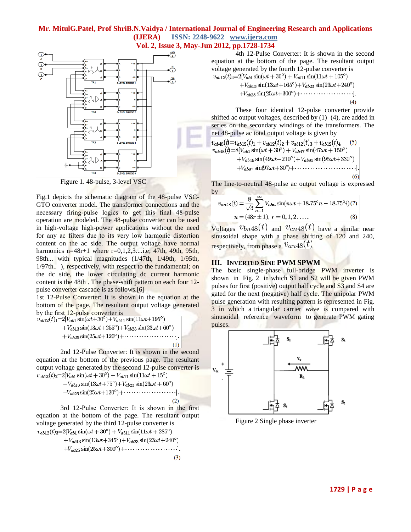



Figure 1. 48-pulse, 3-level VSC

Fig.1 depicts the schematic diagram of the 48-pulse VSC-GTO converter model. The transformer connections and the necessary firing-pulse logics to get this final 48-pulse operation are modeled. The 48-pulse converter can be used in high-voltage high-power applications without the need for any ac filters due to its very low harmonic distortion content on the ac side. The output voltage have normal harmonics n=48r+1 where r=0,1,2,3....i.e; 47th, 49th, 95th, 98th... with typical magnitudes (1/47th, 1/49th, 1/95th, 1/97th.. ), respectively, with respect to the fundamental; on the dc side, the lower circulating dc current harmonic content is the 48th . The phase-shift pattern on each four 12 pulse converter cascade is as follows.[6]

1st 12-Pulse Converter: It is shown in the equation at the bottom of the page. The resultant output voltage generated by the first 12-pulse converter is<br>  $v_{ab12}(t)_{1}=2[V_{ab1}\sin(\omega t+30^{\circ})+V_{ab11}\sin(11\omega t+195^{\circ})]$ 

 $+V_{ab13}\sin(13\omega t+255^{\circ})+V_{ab23}\sin(23\omega t+60^{\circ})$  $(1)$ 

2nd 12-Pulse Converter: It is shown in the second equation at the bottom of the previous page. The resultant output voltage generated by the second 12-pulse converter is  $v_{ab12}(t)_{2} = 2[V_{ab1} \sin(\omega t + 30^{\circ}) + V_{ab11} \sin(11\omega t + 15^{\circ})]$ 

 $+V_{ab13}\sin(13\omega t+75^{\circ})+V_{ab23}\sin(23\omega t+60^{\circ})$  $(2)$ 

3rd 12-Pulse Converter: It is shown in the first equation at the bottom of the page. The resultant output voltage generated by the third 12-pulse converter is  $v_{ab12}(t)_{3} = 2[V_{ab1} \sin(\omega t + 30^{\circ}) + V_{ab11} \sin(11\omega t + 285^{\circ})]$ 

 $+V_{ab13}\sin(13\omega t+345^\circ)+V_{ab23}\sin(23\omega t+240^\circ)$  $(3)$ 

4th 12-Pulse Converter: It is shown in the second equation at the bottom of the page. The resultant output voltage generated by the fourth 12-pulse converter is  $v_{ab12}(t)_{4} = 2[V_{ab1} \sin(\omega t + 30^{\circ}) + V_{ab11} \sin(11\omega t + 105^{\circ})]$ 

$$
+V_{ab13}\sin(13\omega t+165^\circ)+V_{ab23}\sin(23\omega t+240^\circ)
$$
  
+
$$
V_{ab25}\sin(25\omega t+300^\circ)+\cdots
$$
 (4)

These four identical 12-pulse converter provide shifted ac output voltages, described by (1)–(4), are added in series on the secondary windings of the transformers. The net 48-pulse ac total output voltage is given by

$$
v_{ab48}(t) = v_{ab12}(t)_{1} + v_{ab12}(t)_{2} + v_{ab12}(t)_{3} + v_{ab12}(t)_{4}
$$
 (5)  
\n
$$
v_{ab48}(t) = 8[V_{ab1} \sin(\omega t + 30^{\circ}) + V_{ab47} \sin(47\omega t + 150^{\circ}) + V_{ab49} \sin(49\omega t + 210^{\circ}) + V_{ab55} \sin(95\omega t + 330^{\circ}) + V_{ab97} \sin(97\omega t + 30^{\circ}) + \cdots
$$

$$
(6)
$$

The line-to-neutral 48-pulse ac output voltage is expressed by

$$
v_{an48}(t) = \frac{8}{\sqrt{3}} \sum_{n=1}^{\infty} V_{abn} \sin(n\omega t + 18.75^{\circ} n - 18.75^{\circ} i)(7)
$$

$$
n = (48r \pm 1), r = 0, 1, 2 \dots \dots \tag{8}
$$

Voltages  $v_{bn48}(t)$  and  $v_{cn48}(t)$  have a similar near sinusoidal shape with a phase shifting of 120 and 240, respectively, from phase a  $v_{an48}(t)$ .

### **III. INVERTED SINE PWM SPWM**

The basic single-phase full-bridge PWM inverter is shown in Fig. 2 in which S1 and S2 will be given PWM pulses for first (positive) output half cycle and S3 and S4 are gated for the next (negative) half cycle. The unipolar PWM pulse generation with resulting pattern is represented in Fig. 3 in which a triangular carrier wave is compared with sinusoidal reference waveform to generate PWM gating pulses.



Figure 2 Single phase inverter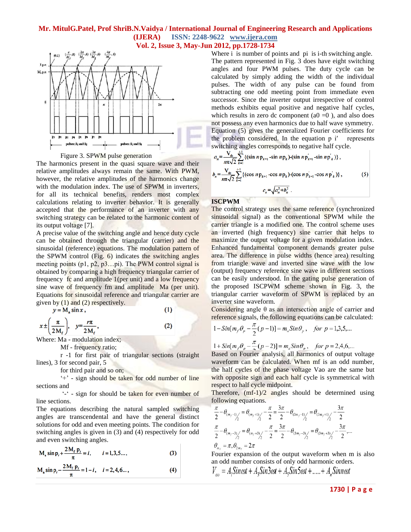



Figure 3. SPWM pulse generation

The harmonics present in the quasi square wave and their relative amplitudes always remain the same. With PWM, however, the relative amplitudes of the harmonics change with the modulation index. The use of SPWM in inverters, for all its technical benefits, renders most complex calculations relating to inverter behavior. It is generally accepted that the performance of an inverter with any switching strategy can be related to the harmonic content of its output voltage [7].

A precise value of the switching angle and hence duty cycle can be obtained through the triangular (carrier) and the sinusoidal (reference) equations. The modulation pattern of the SPWM control (Fig. 6) indicates the switching angles meeting points (p1, p2, p3…pi). The PWM control signal is obtained by comparing a high frequency triangular carrier of frequency fc and amplitude 1(per unit) and a low frequency sine wave of frequency fm and amplitude Ma (per unit). Equations for sinusoidal reference and triangular carrier are given by (1) and (2) respectively.

$$
y = M_a \sin x, \tag{1}
$$

$$
x \pm \left(\frac{\pi}{2M_f}\right), \quad y = \frac{r\pi}{2M_f}, \tag{2}
$$

Where: Ma - modulation index;

Mf - frequency ratio;

r -1 for first pair of triangular sections (straight lines), 3 for second pair, 5

for third pair and so on;

'+' - sign should be taken for odd number of line sections and

'-' - sign for should be taken for even number of line sections.

The equations describing the natural sampled switching angles are transcendental and have the general distinct solutions for odd and even meeting points. The condition for switching angles is given in (3) and (4) respectively for odd and even switching angles.

$$
M_a \sin p_i + \frac{2M_f p_i}{\pi} = i, \qquad i = 1, 3, 5..., \tag{3}
$$

$$
M_a \sin p_i - \frac{2M_f p_i}{\pi} = 1 - i, \quad i = 2, 4, 6... \tag{4}
$$

Where i is number of points and pi is *i*-th switching angle. The pattern represented in Fig. 3 does have eight switching angles and four PWM pulses. The duty cycle can be calculated by simply adding the width of the individual pulses. The width of any pulse can be found from subtracting one odd meeting point from immediate even successor. Since the inverter output irrespective of control methods exhibits equal positive and negative half cycles, which results in zero dc component ( $a0 = 0$ ), and also does not possess any even harmonics due to half wave symmetry. Equation (5) gives the generalized Fourier coefficients for the problem considered. In the equation p i′ represents switching angles corresponds to negative half cycle.

$$
a_n = \frac{V_{\text{dc}}}{n\pi\sqrt{2}} \sum_{k=1}^{N-1} \left\{ (\sin n p_{k+1} - \sin n p_k) - (\sin n p_{k+1}^{\dagger} - \sin n p_k^{\dagger}) \right\},
$$
  
\n
$$
b_n = \frac{V_{\text{dc}}}{n\pi\sqrt{2}} \sum_{k=1}^{N-1} \left\{ (\cos n p_{k+1} - \cos n p_k) - (\cos n p_{k+1}^{\dagger} - \cos n p_k^{\dagger}) \right\},
$$
  
\n
$$
c_n = \sqrt{a_n^2 + b_n^2}.
$$
 (5)

### **ISCPWM**

The control strategy uses the same reference (synchronized sinusoidal signal) as the conventional SPWM while the carrier triangle is a modified one. The control scheme uses an inverted (high frequency) sine carrier that helps to maximize the output voltage for a given modulation index. Enhanced fundamental component demands greater pulse area. The difference in pulse widths (hence area) resulting from triangle wave and inverted sine wave with the low (output) frequency reference sine wave in different sections can be easily understood. In the gating pulse generation of the proposed ISCPWM scheme shown in Fig. 3, the triangular carrier waveform of SPWM is replaced by an inverter sine waveform.

Considering angle θ as an intersection angle of carrier and reference signals, the following equations can be calculated:

$$
1 - \sin[m_f \theta_p - \frac{\pi}{2}(p-1)] = m_a \sin \theta_p, \text{ for } p = 1,3,5,...
$$

 $1 + \sin[m_f \theta_p - \frac{\pi}{2}(p-2)] = m_a \sin \theta_p$ , for  $p = 2,4,6,...$ <br>Based on Fourier analysis, all harmonics of output voltage

waveform can be calculated. When mf is an odd number, the half cycles of the phase voltage Vao are the same but with opposite sign and each half cycle is symmetrical with respect to half cycle midpoint.

Therefore, (mf-1)/2 angles should be determined using following equations.

$$
\frac{\pi}{2} - \theta_{(m_f - 1)/2} = \theta_{(m_f + 1)/2} - \frac{\pi}{2} = \frac{3\pi}{2} - \theta_{(3m_f - 1)/2} = \theta_{(3m_f + 1)/2} - \frac{3\pi}{2}
$$

$$
\frac{\pi}{2} - \theta_{(m_f - 3)/2} = \theta_{(m_f + 3)/2} - \frac{\pi}{2} = \frac{3\pi}{2} - \theta_{(3m_f - 3)/2} = \theta_{(3m_f + 3)/2} - \frac{3\pi}{2},...
$$

$$
\theta_{m_f} = \pi, \theta_{2m_f} = 2\pi
$$

Fourier expansion of the output waveform when m is also an odd number consists of only odd harmonic orders.

$$
V_{oo} = A_1 \sin \omega t + A_2 \sin 3 \omega t + A_5 \sin 5 \omega t + \dots + A_n \sin n \omega t
$$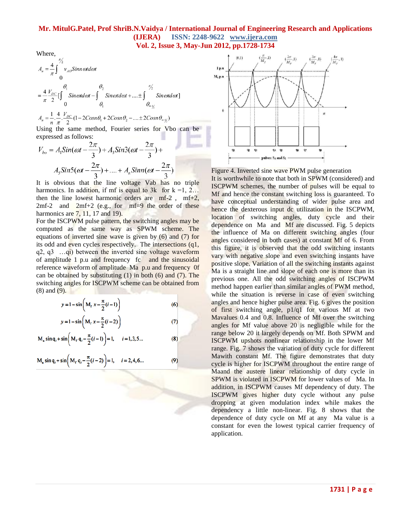#### **Mr. MitulG.Patel, Prof ShriB.N.Vaidya / International Journal of Engineering Research and Applications (IJERA) ISSN: 2248-9622 www.ijera.com Vol. 2, Issue 3, May-Jun 2012, pp.1728-1734**

Where,

$$
A_n = \frac{4}{\pi} \int_0^{\frac{\pi}{2}} v_{A0} \sin n\omega t \, d\omega t
$$
  
=  $\frac{4}{\pi} \frac{V_{DC}}{2} \left[ \int_0^{\theta_1} \sin \omega t \, d\omega t - \int_0^{\theta_2} \sin \omega t \, d\omega t + \dots \pm \int_0^{\frac{\pi}{2}} \sin \omega t \, d\omega t \right]$   

$$
A_n = \frac{1}{n} \cdot \frac{4}{\pi} \cdot \frac{V_{DC}}{2} (1 - 2 \cos n\theta_1 + 2 \cos n\theta_2 - \dots \pm 2 \cos n\theta_{\frac{\pi}{2}})
$$

Using the same method, Fourier series for Vbo can be expressed as follows:

$$
V_{bo} = A_1 Sin(\omega t - \frac{2\pi}{3}) + A_3 Sin3(\omega t - \frac{2\pi}{3}) + A_5 Sin5(\omega t - \frac{2\pi}{3}) + .... + A_n Simn(\omega t - \frac{2\pi}{3})
$$

It is obvious that the line voltage Vab has no triple harmonics. In addition, if mf is equal to 3k for  $k = 1, 2...$ then the line lowest harmonic orders are  $mf-2$ ,  $mf+2$ , 2mf-2 and 2mf+2 (e.g., for mf=9 the order of these harmonics are 7, 11, 17 and 19).

For the ISCPWM pulse pattern, the switching angles may be computed as the same way as SPWM scheme. The equations of inverted sine wave is given by (6) and (7) for its odd and even cycles respectively. The intersections (q1, q2, q3 …qi) between the inverted sine voltage waveform of amplitude 1 p.u and frequency fc and the sinusoidal reference waveform of amplitude Ma p.u and frequency 0f can be obtained by substituting  $(1)$  in both  $(6)$  and  $(7)$ . The switching angles for ISCPWM scheme can be obtained from (8) and (9).

$$
y = 1 - \sin\left(M_f x - \frac{\pi}{2}(i - 1)\right)
$$
(6)  

$$
y = 1 - \sin\left(M_f x - \frac{\pi}{2}(i - 2)\right)
$$
(7)

 $(8)$ 

 $(9)$ 

 $M_a \sin q_i + \sin \left( M_f q_i - \frac{\pi}{2} (i-1) \right) = 1, \quad i = 1, 3, 5...$ 

$$
M_a \sin q_i + \sin \left( M_f q_i - \frac{\pi}{2} (i - 2) \right) = 1, \quad i = 2, 4, 6...
$$



Figure 4. Inverted sine wave PWM pulse generation

It is worthwhile to note that both in SPWM (considered) and ISCPWM schemes, the number of pulses will be equal to Mf and hence the constant switching loss is guaranteed. To have conceptual understanding of wider pulse area and hence the dexterous input dc utilization in the ISCPWM, location of switching angles, duty cycle and their dependence on Ma and Mf are discussed. Fig. 5 depicts the influence of Ma on different switching angles (four angles considered in both cases) at constant Mf of 6. From this figure, it is observed that the odd switching instants vary with negative slope and even switching instants have positive slope. Variation of all the switching instants against Ma is a straight line and slope of each one is more than its previous one. All the odd switching angles of ISCPWM method happen earlier than similar angles of PWM method, while the situation is reverse in case of even switching angles and hence higher pulse area. Fig. 6 gives the position of first switching angle, p1/q1 for various Mf at two Mavalues 0.4 and 0.8. Influence of Mf over the switching angles for Mf value above 20 is negligible while for the range below 20 it largely depends on Mf. Both SPWM and ISCPWM upshots nonlinear relationship in the lower Mf range. Fig. 7 shows the variation of duty cycle for different Mawith constant Mf. The figure demonstrates that duty cycle is higher for ISCPWM throughout the entire range of Maand the austere linear relationship of duty cycle in SPWM is violated in ISCPWM for lower values of Ma. In addition, in ISCPWM causes Mf dependency of duty. The ISCPWM gives higher duty cycle without any pulse dropping at given modulation index while makes the dependency a little non-linear. Fig. 8 shows that the dependence of duty cycle on Mf at any Ma value is a constant for even the lowest typical carrier frequency of application.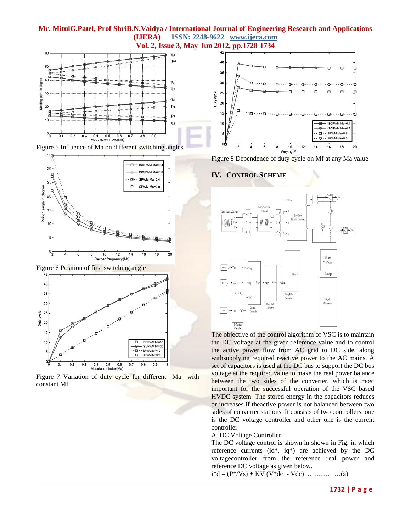



Figure 5 Influence of Ma on different switching angles



Figure 7 Variation of duty cycle for different Ma with constant Mf

on Index(Ma)

 $\overline{0.8}$  $\frac{1}{0.9}$ 

 $\overline{0.3}$ 

 $0.4$  $0.5$  $0.6$  $0.7$ 

 $\overline{0.2}$ 



Figure 8 Dependence of duty cycle on Mf at any Ma value

#### **IV. CONTROL SCHEME**



The objective of the control algorithm of VSC is to maintain the DC voltage at the given reference value and to control the active power flow from AC grid to DC side, along withsupplying required reactive power to the AC mains. A set of capacitors is used at the DC bus to support the DC bus voltage at the required value to make the real power balance between the two sides of the converter, which is most important for the successful operation of the VSC based HVDC system. The stored energy in the capacitors reduces or increases if theactive power is not balanced between two sides of converter stations. It consists of two controllers, one is the DC voltage controller and other one is the current controller

#### A. DC Voltage Controller

The DC voltage control is shown in shown in Fig. in which reference currents (id\*, iq\*) are achieved by the DC voltagecontroller from the reference real power and reference DC voltage as given below.

i\*d = (P\*/Vs) + KV (V\*dc - Vdc) ……………(a)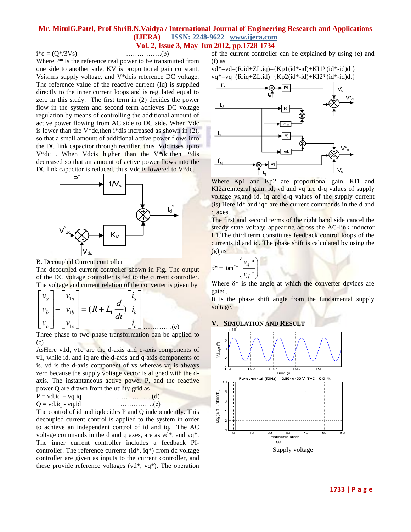**Vol. 2, Issue 3, May-Jun 2012, pp.1728-1734**

i\*q = (Q\*/3Vs) …………….(b) Where  $P^*$  is the reference real power to be transmitted from one side to another side, KV is proportional gain constant, Vsisrms supply voltage, and V\*dcis reference DC voltage. The reference value of the reactive current (Iq) is supplied directly to the inner current loops and is regulated equal to zero in this study. The first term in (2) decides the power flow in the system and second term achieves DC voltage regulation by means of controlling the additional amount of active power flowing from AC side to DC side. When Vdc is lower than the  $V^*$ dc, then i<sup>\*</sup>dis increased as shown in (2), so that a small amount of additional active power flows into the DC link capacitor through rectifier, thus Vdc rises up to V\*dc . When Vdcis higher than the V\*dc,then i\*dis decreased so that an amount of active power flows into the DC link capacitor is reduced, thus Vdc is lowered to V\*dc.



B. Decoupled Current controller

The decoupled current controller shown in Fig. The output of the DC voltage controller is fed to the current controller. The voltage and current relation of the converter is given by

$$
\begin{bmatrix} v_a \\ v_b \\ v_c \end{bmatrix} - \begin{bmatrix} v_{1a} \\ v_{1b} \\ v_{1c} \end{bmatrix} = (R + L_1 \frac{d}{dt}) \begin{bmatrix} i_a \\ i_b \\ i_c \end{bmatrix}
$$
 (c)

Three phase to two phase transformation can be applied to (c)

AsHere v1d, v1q are the d-axis and q-axis components of v1, while id, and iq are the d-axis and q-axis components of is. vd is the d-axis component of vs whereas vq is always zero because the supply voltage vector is aligned with the daxis. The instantaneous active power P, and the reactive power Q are drawn from the utility grid as

$$
P = v \text{d.i}d + vq.iq
$$
  
Q = v \text{d.i}q - vq.id  
............(e)

The control of id and iqdecides P and Q independently. This decoupled current control is applied to the system in order to achieve an independent control of id and iq. The AC voltage commands in the d and q axes, are as vd\*, and vq\*. The inner current controller includes a feedback PIcontroller. The reference currents (id\*, iq\*) from dc voltage controller are given as inputs to the current controller, and these provide reference voltages (vd\*, vq\*). The operation of the current controller can be explained by using (e) and (f) as

$$
vd^* = vd - (R.id + ZL.id) - {Kp1(id * - id) + KI1^3 (id * - id)dt}
$$
  
\n
$$
vq^* = vq - (R.id + ZL.id) - {Kp2(id * - id) + KI2^3 (id * - id)dt}
$$
  
\n
$$
\begin{bmatrix} i_d & i_d \\ i_d & i_d \end{bmatrix}
$$



Where Kp1 and Kp2 are proportional gain, KI1 and KI2areintegral gain, id, vd and vq are d-q values of supply voltage vs,and id, iq are d-q values of the supply current (is).Here id\* and iq\* are the current commands in the d and q axes.

The first and second terms of the right hand side cancel the steady state voltage appearing across the AC-link inductor L1.The third term constitutes feedback control loops of the currents id and iq. The phase shift is calculated by using the (g) as

$$
\delta^* = \tan^{-1} \left( \frac{v_q^*}{v_d^*} \right)
$$

Where  $\delta^*$  is the angle at which the converter devices are gated.

It is the phase shift angle from the fundamental supply voltage.

#### **V. SIMULATION AND RESULT**